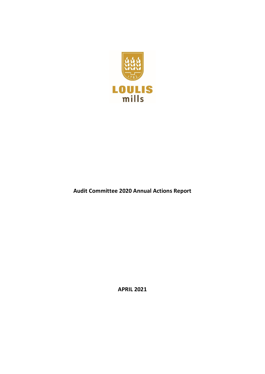

**Audit Committee 2020 Annual Actions Report**

**APRIL 2021**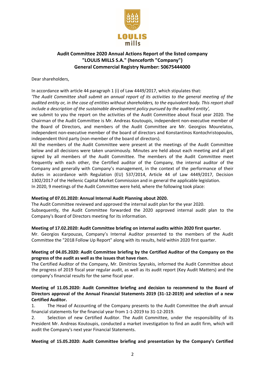

# **Audit Committee 2020 Annual Actions Report of the listed company "LOULIS MILLS S.A." (henceforth "Company") General Commercial Registry Number: 50675444000**

Dear shareholders,

In accordance with article 44 paragraph 1 (i) of Law 4449/2017, which stipulates that:

*'The Audit Committee shall submit an annual report of its activities to the general meeting of the audited entity or, in the case of entities without shareholders, to the equivalent body. This report shall include a description of the sustainable development policy pursued by the audited entity',*

we submit to you the report on the activities of the Audit Committee about fiscal year 2020. The Chairman of the Audit Committee is Mr. Andreas Koutoupis, independent non-executive member of the Board of Directors, and members of the Audit Committee are Mr. Georgios Mourelatos, independent non-executive member of the board of directors and Konstantinos Kontochristopoulos, independent third party (non-member of the board of directors).

All the members of the Audit Committee were present at the meetings of the Audit Committee below and all decisions were taken unanimously. Minutes are held about each meeting and all got signed by all members of the Audit Committee. The members of the Audit Committee meet frequently with each other, the Certified auditor of the Company, the internal auditor of the Company and generally with Company's management, in the context of the performance of their duties in accordance with Regulation (EU) 537/2014, Article 44 of Law 4449/2017, Decision 1302/2017 of the Hellenic Capital Market Commission and in general the applicable legislation. In 2020, 9 meetings of the Audit Committee were held, where the following took place:

#### **Meeting of 07.01.2020: Annual Internal Audit Planning about 2020.**

The Audit Committee reviewed and approved the internal audit plan for the year 2020. Subsequently, the Audit Committee forwarded the 2020 approved internal audit plan to the Company's Board of Directors meeting for its information.

#### **Meeting of 17.02.2020: Audit Committee briefing on internal audits within 2020 first quarter.**

Mr. Georgios Karpouzas, Company's Internal Auditor presented to the members of the Audit Committee the "2018 Follow Up Report" along with its results, held within 2020 first quarter.

## **Meeting of 04.05.2020: Audit Committee briefing by the Certified Auditor of the Company on the progress of the audit as well as the issues that have risen.**

The Certified Auditor of the Company, Mr. Dimitrios Spyrakis, informed the Audit Committee about the progress of 2019 fiscal year regular audit, as well as its audit report (Key Audit Matters) and the company's financial results for the same fiscal year.

## **Meeting of 11.05.2020: Audit Committee briefing and decision to recommend to the Board of Directors approval of the Annual Financial Statements 2019 (31-12-2019) and selection of a new Certified Auditor.**

1. The Head of Accounting of the Company presents to the Audit Committee the draft annual financial statements for the financial year from 1-1-2019 to 31-12-2019.

2. Selection of new Certified Auditor. The Audit Committee, under the responsibility of its President Mr. Andreas Koutoupis, conducted a market investigation to find an audit firm, which will audit the Company's next year Financial Statements.

## **Meeting of 15.05.2020: Audit Committee briefing and presentation by the Company's Certified**